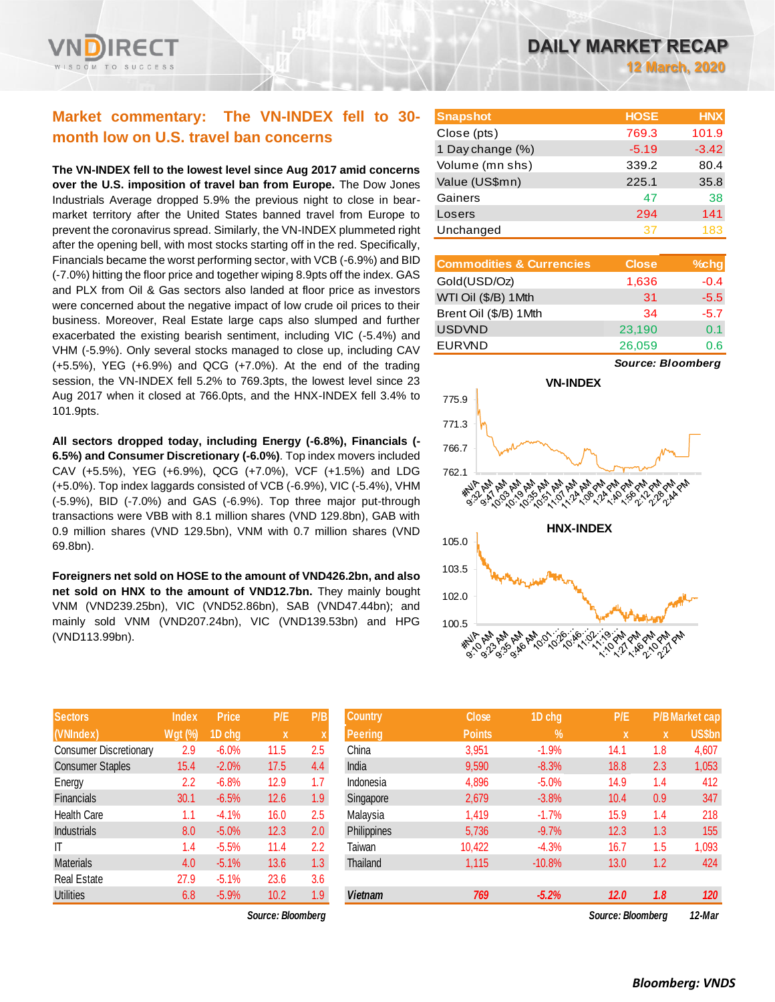

# **Market commentary: The VN-INDEX fell to 30 month low on U.S. travel ban concerns**

**The VN-INDEX fell to the lowest level since Aug 2017 amid concerns over the U.S. imposition of travel ban from Europe.** The Dow Jones Industrials Average dropped 5.9% the previous night to close in bearmarket territory after the United States banned travel from Europe to prevent the coronavirus spread. Similarly, the VN-INDEX plummeted right after the opening bell, with most stocks starting off in the red. Specifically, Financials became the worst performing sector, with VCB (-6.9%) and BID (-7.0%) hitting the floor price and together wiping 8.9pts off the index. GAS and PLX from Oil & Gas sectors also landed at floor price as investors were concerned about the negative impact of low crude oil prices to their business. Moreover, Real Estate large caps also slumped and further exacerbated the existing bearish sentiment, including VIC (-5.4%) and VHM (-5.9%). Only several stocks managed to close up, including CAV (+5.5%), YEG (+6.9%) and QCG (+7.0%). At the end of the trading session, the VN-INDEX fell 5.2% to 769.3pts, the lowest level since 23 Aug 2017 when it closed at 766.0pts, and the HNX-INDEX fell 3.4% to 101.9pts.

**All sectors dropped today, including Energy (-6.8%), Financials (- 6.5%) and Consumer Discretionary (-6.0%)**. Top index movers included CAV (+5.5%), YEG (+6.9%), QCG (+7.0%), VCF (+1.5%) and LDG (+5.0%). Top index laggards consisted of VCB (-6.9%), VIC (-5.4%), VHM (-5.9%), BID (-7.0%) and GAS (-6.9%). Top three major put-through transactions were VBB with 8.1 million shares (VND 129.8bn), GAB with 0.9 million shares (VND 129.5bn), VNM with 0.7 million shares (VND 69.8bn).

**Foreigners net sold on HOSE to the amount of VND426.2bn, and also net sold on HNX to the amount of VND12.7bn.** They mainly bought VNM (VND239.25bn), VIC (VND52.86bn), SAB (VND47.44bn); and mainly sold VNM (VND207.24bn), VIC (VND139.53bn) and HPG (VND113.99bn).

| <b>Sectors</b>                | <b>Index</b>   | <b>Price</b> | P/E  | P/B |
|-------------------------------|----------------|--------------|------|-----|
| (VNIndex)                     | <b>Wgt (%)</b> | 1D chg       | X    | X   |
| <b>Consumer Discretionary</b> | 2.9            | $-6.0%$      | 11.5 | 2.5 |
| <b>Consumer Staples</b>       | 15.4           | $-2.0%$      | 17.5 | 4.4 |
| Energy                        | 2.2            | $-6.8%$      | 12.9 | 1.7 |
| <b>Financials</b>             | 30.1           | $-6.5%$      | 12.6 | 1.9 |
| <b>Health Care</b>            | 1.1            | $-4.1%$      | 16.0 | 2.5 |
| <b>Industrials</b>            | 8.0            | $-5.0%$      | 12.3 | 2.0 |
| ΙT                            | 1.4            | $-5.5%$      | 11.4 | 2.2 |
| <b>Materials</b>              | 4.0            | $-5.1%$      | 13.6 | 1.3 |
| <b>Real Estate</b>            | 27.9           | $-5.1%$      | 23.6 | 3.6 |
| <b>Utilities</b>              | 6.8            | $-5.9%$      | 10.2 | 1.9 |

*Source: Bloomberg Source: Bloomberg 12-Mar*

| <b>Snapshot</b>  | <b>HOSE</b> | <b>HNX</b> |
|------------------|-------------|------------|
| Close (pts)      | 769.3       | 101.9      |
| 1 Day change (%) | $-5.19$     | $-3.42$    |
| Volume (mn shs)  | 339.2       | 80.4       |
| Value (US\$mn)   | 225.1       | 35.8       |
| Gainers          | 47          | 38         |
| Losers           | 294         | 141        |
| Unchanged        | 37          | 183        |

| <b>Commodities &amp; Currencies</b> | <b>Close</b> | $%$ chg |
|-------------------------------------|--------------|---------|
| Gold(USD/Oz)                        | 1,636        | $-0.4$  |
| WTI Oil (\$/B) 1 Mth                | 31           | $-5.5$  |
| Brent Oil (\$/B) 1Mth               | 34           | $-5.7$  |
| <b>USDVND</b>                       | 23,190       | 0.1     |
| <b>EURVND</b>                       | 26,059       | 0.6     |

*Source: Bloomberg*



| <b>Sectors</b>          | <b>Index</b>   | <b>Price</b> | P/E               | P/B              | <b>Country</b> | <b>Close</b>  | 1D chg     | P/E               |     | <b>P/B</b> Market cap |
|-------------------------|----------------|--------------|-------------------|------------------|----------------|---------------|------------|-------------------|-----|-----------------------|
| (VNIndex)               | <b>Wgt (%)</b> | 1D chg       | $\mathbf{x}$      | X                | <b>Peering</b> | <b>Points</b> | $\sqrt{2}$ | x                 | X   | <b>US\$bn</b>         |
| Consumer Discretionary  | 2.9            | $-6.0%$      | 11.5              | 2.5              | China          | 3,951         | $-1.9%$    | 14.1              | 1.8 | 4,607                 |
| <b>Consumer Staples</b> | 15.4           | $-2.0%$      | 17.5              | 4.4              | India          | 9,590         | $-8.3%$    | 18.8              | 2.3 | 1,053                 |
| Energy                  | 2.2            | $-6.8%$      | 12.9              | 1.7              | Indonesia      | 4,896         | $-5.0%$    | 14.9              | 1.4 | 412                   |
| Financials              | 30.1           | $-6.5%$      | 12.6              | 1.9              | Singapore      | 2,679         | $-3.8%$    | 10.4              | 0.9 | 347                   |
| Health Care             | 1.1            | $-4.1%$      | 16.0              | 2.5              | Malaysia       | 1,419         | $-1.7%$    | 15.9              | 1.4 | 218                   |
| <b>Industrials</b>      | 8.0            | $-5.0%$      | 12.3              | 2.0              | Philippines    | 5,736         | $-9.7%$    | 12.3              | 1.3 | 155                   |
| ΙT                      | 1.4            | $-5.5%$      | 11.4              | 2.2              | Taiwan         | 10,422        | $-4.3%$    | 16.7              | 1.5 | 1,093                 |
| Materials               | 4.0            | $-5.1%$      | 13.6              | 1.3 <sup>°</sup> | Thailand       | 1,115         | $-10.8%$   | 13.0              | 1.2 | 424                   |
| Real Estate             | 27.9           | $-5.1%$      | 23.6              | 3.6              |                |               |            |                   |     |                       |
| <b>Utilities</b>        | 6.8            | $-5.9%$      | 10.2              | 1.9              | <b>Vietnam</b> | 769           | $-5.2%$    | 12.0              | 1.8 | 120                   |
|                         |                |              | Source: Bloomberg |                  |                |               |            | Source: Bloombera |     | 12-Mar                |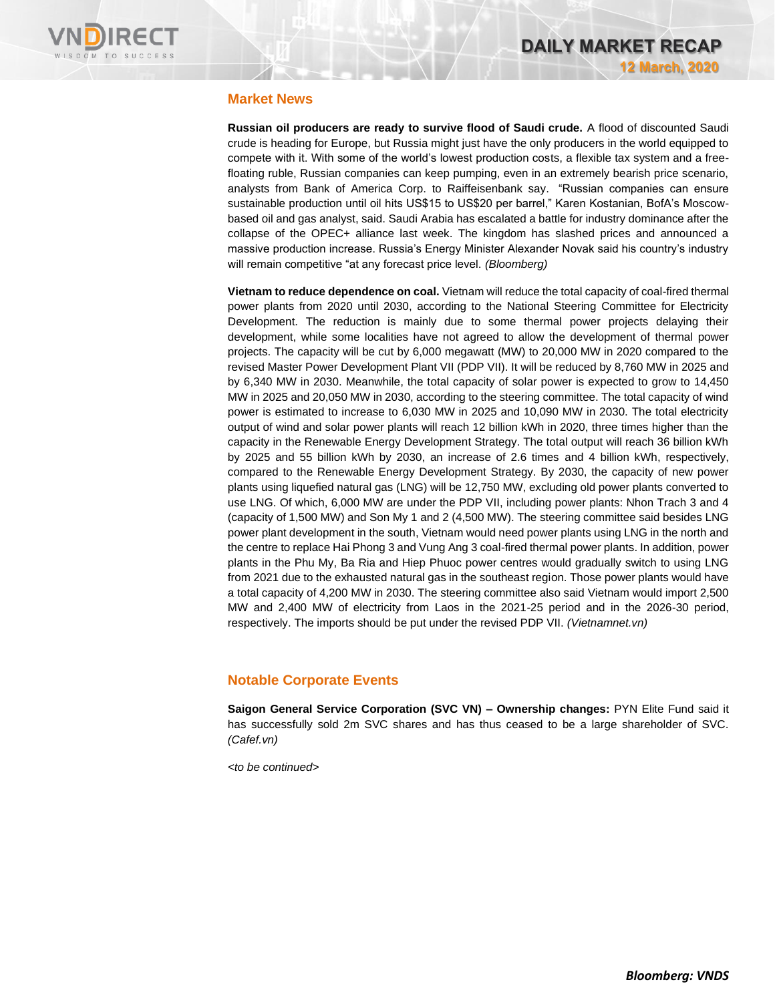

## **Market News**

**Russian oil producers are ready to survive flood of Saudi crude.** A flood of discounted Saudi crude is heading for Europe, but Russia might just have the only producers in the world equipped to compete with it. With some of the world's lowest production costs, a flexible tax system and a freefloating ruble, Russian companies can keep pumping, even in an extremely bearish price scenario, analysts from Bank of America Corp. to Raiffeisenbank say. "Russian companies can ensure sustainable production until oil hits US\$15 to US\$20 per barrel," Karen Kostanian, BofA's Moscowbased oil and gas analyst, said. Saudi Arabia has escalated a battle for industry dominance after the collapse of the OPEC+ alliance last week. The kingdom has slashed prices and announced a massive production increase. Russia's Energy Minister Alexander Novak said his country's industry will remain competitive "at any forecast price level. *(Bloomberg)*

**Vietnam to reduce dependence on coal.** Vietnam will reduce the total capacity of coal-fired thermal power plants from 2020 until 2030, according to the National Steering Committee for Electricity Development. The reduction is mainly due to some thermal power projects delaying their development, while some localities have not agreed to allow the development of thermal power projects. The capacity will be cut by 6,000 megawatt (MW) to 20,000 MW in 2020 compared to the revised Master Power Development Plant VII (PDP VII). It will be reduced by 8,760 MW in 2025 and by 6,340 MW in 2030. Meanwhile, the total capacity of solar power is expected to grow to 14,450 MW in 2025 and 20,050 MW in 2030, according to the steering committee. The total capacity of wind power is estimated to increase to 6,030 MW in 2025 and 10,090 MW in 2030. The total electricity output of wind and solar power plants will reach 12 billion kWh in 2020, three times higher than the capacity in the Renewable Energy Development Strategy. The total output will reach 36 billion kWh by 2025 and 55 billion kWh by 2030, an increase of 2.6 times and 4 billion kWh, respectively, compared to the Renewable Energy Development Strategy. By 2030, the capacity of new power plants using liquefied natural gas (LNG) will be 12,750 MW, excluding old power plants converted to use LNG. Of which, 6,000 MW are under the PDP VII, including power plants: Nhon Trach 3 and 4 (capacity of 1,500 MW) and Son My 1 and 2 (4,500 MW). The steering committee said besides LNG power plant development in the south, Vietnam would need power plants using LNG in the north and the centre to replace Hai Phong 3 and Vung Ang 3 coal-fired thermal power plants. In addition, power plants in the Phu My, Ba Ria and Hiep Phuoc power centres would gradually switch to using LNG from 2021 due to the exhausted natural gas in the southeast region. Those power plants would have a total capacity of 4,200 MW in 2030. The steering committee also said Vietnam would import 2,500 MW and 2,400 MW of electricity from Laos in the 2021-25 period and in the 2026-30 period, respectively. The imports should be put under the revised PDP VII. *(Vietnamnet.vn)*

# **Notable Corporate Events**

**Saigon General Service Corporation (SVC VN) – Ownership changes:** PYN Elite Fund said it has successfully sold 2m SVC shares and has thus ceased to be a large shareholder of SVC. *(Cafef.vn)*

*<to be continued>*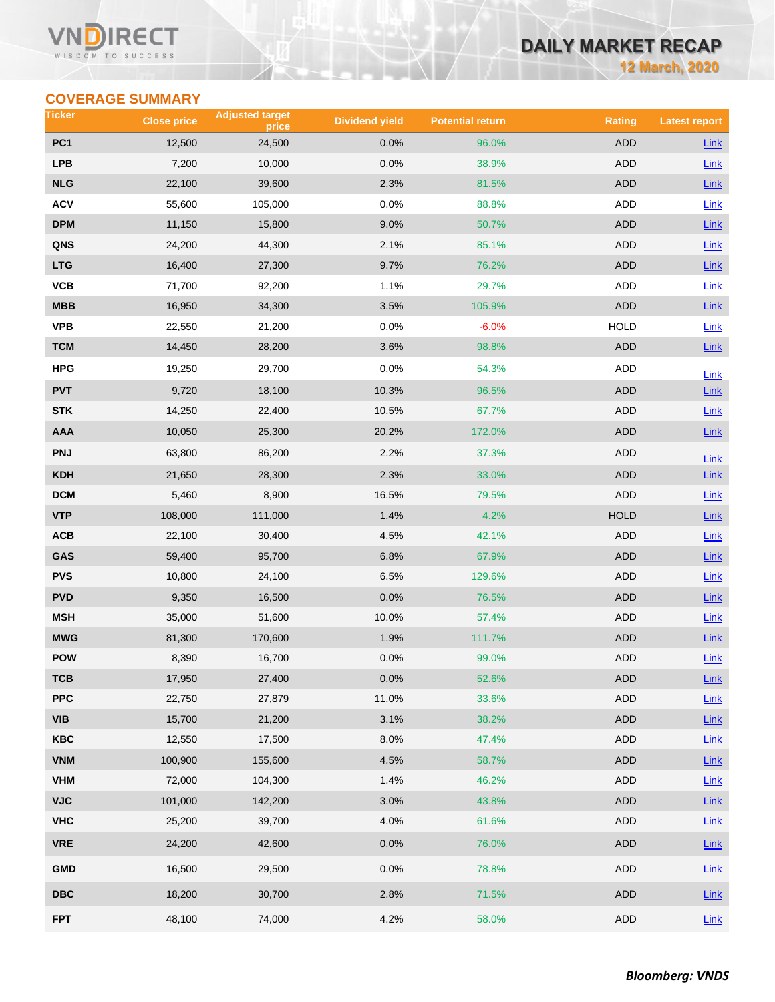## VN RECT WISDOM TO SUCCESS

# **DAILY MARKET RECAP**

**12 March, 2020**

# **COVERAGE SUMMARY**

| Ticker                  | <b>Close price</b> | <b>Adjusted target</b><br>price | <b>Dividend yield</b> | <b>Potential return</b> | <b>Rating</b> | <b>Latest report</b> |
|-------------------------|--------------------|---------------------------------|-----------------------|-------------------------|---------------|----------------------|
| PC <sub>1</sub>         | 12,500             | 24,500                          | 0.0%                  | 96.0%                   | <b>ADD</b>    | <b>Link</b>          |
| <b>LPB</b>              | 7,200              | 10,000                          | 0.0%                  | 38.9%                   | ADD           | Link                 |
| <b>NLG</b>              | 22,100             | 39,600                          | 2.3%                  | 81.5%                   | ADD           | Link                 |
| <b>ACV</b>              | 55,600             | 105,000                         | 0.0%                  | 88.8%                   | ADD           | <b>Link</b>          |
| <b>DPM</b>              | 11,150             | 15,800                          | 9.0%                  | 50.7%                   | <b>ADD</b>    | Link                 |
| QNS                     | 24,200             | 44,300                          | 2.1%                  | 85.1%                   | ADD           | Link                 |
| <b>LTG</b>              | 16,400             | 27,300                          | 9.7%                  | 76.2%                   | <b>ADD</b>    | $Link$               |
| VCB                     | 71,700             | 92,200                          | 1.1%                  | 29.7%                   | ADD           | Link                 |
| <b>MBB</b>              | 16,950             | 34,300                          | 3.5%                  | 105.9%                  | <b>ADD</b>    | $Link$               |
| <b>VPB</b>              | 22,550             | 21,200                          | 0.0%                  | $-6.0%$                 | <b>HOLD</b>   | Link                 |
| <b>TCM</b>              | 14,450             | 28,200                          | 3.6%                  | 98.8%                   | ADD           | Link                 |
| <b>HPG</b>              | 19,250             | 29,700                          | 0.0%                  | 54.3%                   | ADD           | Link                 |
| <b>PVT</b>              | 9,720              | 18,100                          | 10.3%                 | 96.5%                   | <b>ADD</b>    | Link                 |
| <b>STK</b>              | 14,250             | 22,400                          | 10.5%                 | 67.7%                   | ADD           | Link                 |
| <b>AAA</b>              | 10,050             | 25,300                          | 20.2%                 | 172.0%                  | <b>ADD</b>    | Link                 |
| <b>PNJ</b>              | 63,800             | 86,200                          | 2.2%                  | 37.3%                   | ADD           | Link                 |
| <b>KDH</b>              | 21,650             | 28,300                          | 2.3%                  | 33.0%                   | <b>ADD</b>    | Link                 |
| <b>DCM</b>              | 5,460              | 8,900                           | 16.5%                 | 79.5%                   | <b>ADD</b>    | Link                 |
| <b>VTP</b>              | 108,000            | 111,000                         | 1.4%                  | 4.2%                    | <b>HOLD</b>   | Link                 |
| ACB                     | 22,100             | 30,400                          | 4.5%                  | 42.1%                   | ADD           | Link                 |
| GAS                     | 59,400             | 95,700                          | 6.8%                  | 67.9%                   | ADD           | Link                 |
| <b>PVS</b>              | 10,800             | 24,100                          | 6.5%                  | 129.6%                  | ADD           | Link                 |
| <b>PVD</b>              | 9,350              | 16,500                          | 0.0%                  | 76.5%                   | ADD           | Link                 |
| <b>MSH</b>              | 35,000             | 51,600                          | 10.0%                 | 57.4%                   | ADD           | Link                 |
| <b>MWG</b>              | 81,300             | 170,600                         | 1.9%                  | 111.7%                  | <b>ADD</b>    | Link                 |
| <b>POW</b>              | 8,390              | 16,700                          | 0.0%                  | 99.0%                   | ADD           | Link                 |
| тсв                     | 17,950             | 27,400                          | 0.0%                  | 52.6%                   | ADD           | $Link$               |
| <b>PPC</b>              | 22,750             | 27,879                          | 11.0%                 | 33.6%                   | <b>ADD</b>    | Link                 |
| <b>VIB</b>              | 15,700             | 21,200                          | 3.1%                  | 38.2%                   | ADD           | $Link$               |
| <b>KBC</b>              | 12,550             | 17,500                          | 8.0%                  | 47.4%                   | ADD           | Link                 |
| <b>VNM</b>              | 100,900            | 155,600                         | 4.5%                  | 58.7%                   | <b>ADD</b>    | Link                 |
| <b>VHM</b>              | 72,000             | 104,300                         | 1.4%                  | 46.2%                   | <b>ADD</b>    | Link                 |
| <b>VJC</b>              | 101,000            | 142,200                         | 3.0%                  | 43.8%                   | ADD           | Link                 |
| <b>VHC</b>              | 25,200             | 39,700                          | 4.0%                  | 61.6%                   | ADD           | Link                 |
| <b>VRE</b>              | 24,200             | 42,600                          | 0.0%                  | 76.0%                   | ADD           | $Link$               |
| <b>GMD</b>              | 16,500             | 29,500                          | 0.0%                  | 78.8%                   | ADD           | Link                 |
| $\overline{\text{DBC}}$ | 18,200             | 30,700                          | 2.8%                  | 71.5%                   | ADD           | $Link$               |
| <b>FPT</b>              | 48,100             | 74,000                          | 4.2%                  | 58.0%                   | ADD           | Link                 |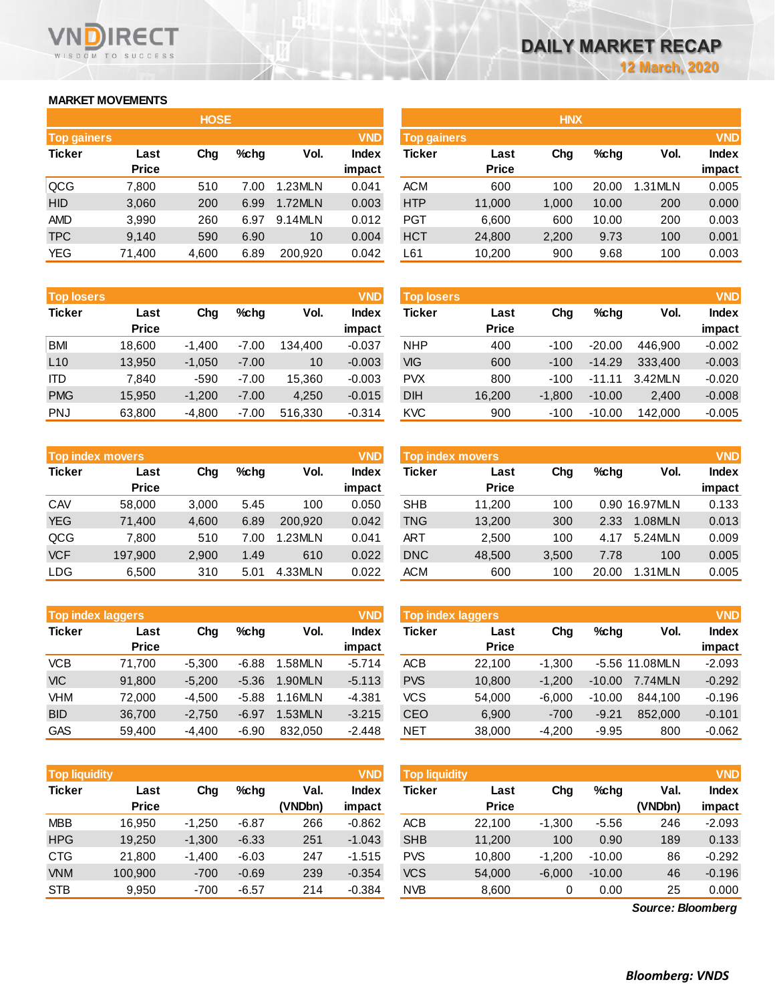# **MARKET MOVEMENTS**

WISDOM TO SUCCESS

RECT

VND

|                    | <b>HOSE</b>  |       |      |         |              |  |  |  |  |  |  |  |
|--------------------|--------------|-------|------|---------|--------------|--|--|--|--|--|--|--|
| <b>Top gainers</b> |              |       |      |         | <b>VND</b>   |  |  |  |  |  |  |  |
| <b>Ticker</b>      | Last         | Cha   | %chq | Vol.    | <b>Index</b> |  |  |  |  |  |  |  |
|                    | <b>Price</b> |       |      |         | impact       |  |  |  |  |  |  |  |
| QCG                | 7,800        | 510   | 7.00 | 1.23MLN | 0.041        |  |  |  |  |  |  |  |
| <b>HID</b>         | 3,060        | 200   | 6.99 | 1.72MLN | 0.003        |  |  |  |  |  |  |  |
| <b>AMD</b>         | 3,990        | 260   | 6.97 | 9.14MLN | 0.012        |  |  |  |  |  |  |  |
| <b>TPC</b>         | 9,140        | 590   | 6.90 | 10      | 0.004        |  |  |  |  |  |  |  |
| <b>YEG</b>         | 71,400       | 4,600 | 6.89 | 200,920 | 0.042        |  |  |  |  |  |  |  |

| <b>Top losers</b> |              |          |         |         | <b>VND</b>   |
|-------------------|--------------|----------|---------|---------|--------------|
| <b>Ticker</b>     | Last         | Cha      | %chq    | Vol.    | <b>Index</b> |
|                   | <b>Price</b> |          |         |         | impact       |
| <b>BMI</b>        | 18,600       | $-1,400$ | $-7.00$ | 134,400 | $-0.037$     |
| L10               | 13,950       | $-1,050$ | $-7.00$ | 10      | $-0.003$     |
| ITD               | 7.840        | $-590$   | $-7.00$ | 15,360  | $-0.003$     |
| <b>PMG</b>        | 15.950       | $-1,200$ | $-7.00$ | 4,250   | $-0.015$     |
| <b>PNJ</b>        | 63,800       | $-4,800$ | $-7.00$ | 516,330 | $-0.314$     |

| <b>Top index movers</b> |              |       |      |         | <b>VND</b>   |
|-------------------------|--------------|-------|------|---------|--------------|
| <b>Ticker</b>           | Last         | Cha   | %chq | Vol.    | <b>Index</b> |
|                         | <b>Price</b> |       |      |         | impact       |
| CAV                     | 58,000       | 3,000 | 5.45 | 100     | 0.050        |
| <b>YEG</b>              | 71,400       | 4,600 | 6.89 | 200,920 | 0.042        |
| QCG                     | 7,800        | 510   | 7.00 | 1.23MLN | 0.041        |
| <b>VCF</b>              | 197,900      | 2,900 | 1.49 | 610     | 0.022        |
| <b>LDG</b>              | 6,500        | 310   | 5.01 | 4.33MLN | 0.022        |

| <b>Top index laggers</b> |              |          |         |         | <b>VND</b>   |
|--------------------------|--------------|----------|---------|---------|--------------|
| <b>Ticker</b>            | Last         | Cha      | %chq    | Vol.    | <b>Index</b> |
|                          | <b>Price</b> |          |         |         | impact       |
| <b>VCB</b>               | 71,700       | $-5,300$ | $-6.88$ | 1.58MLN | $-5.714$     |
| <b>VIC</b>               | 91,800       | $-5,200$ | $-5.36$ | 1.90MLN | $-5.113$     |
| <b>VHM</b>               | 72,000       | $-4,500$ | $-5.88$ | 1.16MLN | $-4.381$     |
| <b>BID</b>               | 36,700       | $-2,750$ | $-6.97$ | 1.53MLN | $-3.215$     |
| <b>GAS</b>               | 59.400       | $-4.400$ | $-6.90$ | 832.050 | $-2.448$     |

| <b>Top liquidity</b> |                      |          |         |                 | <b>VND</b>             | <b>Top liquidity</b> |                      |          |          |                 | <b>VND</b>      |  |
|----------------------|----------------------|----------|---------|-----------------|------------------------|----------------------|----------------------|----------|----------|-----------------|-----------------|--|
| <b>Ticker</b>        | Last<br><b>Price</b> | Chg      | %cha    | Val.<br>(VNDbn) | <b>Index</b><br>impact | Ticker               | Last<br><b>Price</b> | Chg      | $%$ chq  | Val.<br>(VNDbn) | Index<br>impact |  |
| <b>MBB</b>           | 16.950               | $-1,250$ | $-6.87$ | 266             | $-0.862$               | <b>ACB</b>           | 22,100               | $-1,300$ | $-5.56$  | 246             | $-2.093$        |  |
| <b>HPG</b>           | 19.250               | $-1.300$ | $-6.33$ | 251             | $-1.043$               | <b>SHB</b>           | 11.200               | 100      | 0.90     | 189             | 0.133           |  |
| <b>CTG</b>           | 21,800               | $-1,400$ | $-6.03$ | 247             | $-1.515$               | <b>PVS</b>           | 10.800               | $-1.200$ | $-10.00$ | 86              | $-0.292$        |  |
| <b>VNM</b>           | 100.900              | $-700$   | $-0.69$ | 239             | $-0.354$               | <b>VCS</b>           | 54,000               | $-6,000$ | $-10.00$ | 46              | $-0.196$        |  |
| <b>STB</b>           | 9,950                | $-700$   | $-6.57$ | 214             | $-0.384$               | <b>NVB</b>           | 8,600                | 0        | 0.00     | 25              | 0.000           |  |

|                    | <b>HOSE</b>    |            | <b>HNX</b>   |            |              |       |         |            |        |
|--------------------|----------------|------------|--------------|------------|--------------|-------|---------|------------|--------|
| <b>Top gainers</b> |                | <b>VND</b> | Top gainers  |            |              |       |         | <b>VND</b> |        |
| Ticker<br>Last     | $%$ chg<br>Chg | Vol.       | <b>Index</b> | Ticker     | Last         | Chg   | $%$ chg | Vol.       | Index  |
| <b>Price</b>       |                |            | impact       |            | <b>Price</b> |       |         |            | impact |
| 7.800              | 510<br>7.00    | 1.23MLN    | 0.041        | <b>ACM</b> | 600          | 100   | 20.00   | 1.31MLN    | 0.005  |
| 3,060              | 200<br>6.99    | 1.72MLN    | 0.003        | <b>HTP</b> | 11,000       | 1,000 | 10.00   | 200        | 0.000  |
| 3,990              | 260<br>6.97    | 9.14MLN    | 0.012        | <b>PGT</b> | 6,600        | 600   | 10.00   | 200        | 0.003  |
| 9,140              | 6.90<br>590    | 10         | 0.004        | <b>HCT</b> | 24,800       | 2,200 | 9.73    | 100        | 0.001  |
| 71,400             | 6.89<br>4,600  | 200,920    | 0.042        | L61        | 10,200       | 900   | 9.68    | 100        | 0.003  |
|                    |                |            |              |            |              |       |         |            |        |

| <b>VND</b><br><b>Top losers</b> |                      |          |         |         |                        | <b>Top losers</b> |                      |          |          |         | <b>VND</b>             |
|---------------------------------|----------------------|----------|---------|---------|------------------------|-------------------|----------------------|----------|----------|---------|------------------------|
| Ticker                          | Last<br><b>Price</b> | Chg      | $%$ chg | Vol.    | <b>Index</b><br>impact | Ticker            | Last<br><b>Price</b> | Chg      | $%$ chg  | Vol.    | <b>Index</b><br>impact |
| BMI                             | 18.600               | $-1.400$ | $-7.00$ | 134.400 | $-0.037$               | <b>NHP</b>        | 400                  | $-100$   | $-20.00$ | 446.900 | $-0.002$               |
| L10                             | 13.950               | $-1.050$ | $-7.00$ | 10      | $-0.003$               | VIG               | 600                  | $-100$   | $-14.29$ | 333.400 | $-0.003$               |
| ITD                             | 7.840                | $-590$   | $-7.00$ | 15.360  | $-0.003$               | <b>PVX</b>        | 800                  | $-100$   | $-11.11$ | 3.42MLN | $-0.020$               |
| <b>PMG</b>                      | 15.950               | $-1.200$ | $-7.00$ | 4,250   | $-0.015$               | <b>DIH</b>        | 16,200               | $-1.800$ | $-10.00$ | 2.400   | $-0.008$               |
| PNJ                             | 63.800               | $-4.800$ | $-7.00$ | 516.330 | $-0.314$               | <b>KVC</b>        | 900                  | $-100$   | $-10.00$ | 142,000 | $-0.005$               |

|            |                         |       |      |         |              | <b>Top index movers</b> |              |       |         |               |              |  |
|------------|-------------------------|-------|------|---------|--------------|-------------------------|--------------|-------|---------|---------------|--------------|--|
|            | <b>Top index movers</b> |       |      |         | <b>VND</b>   |                         |              |       |         |               | <b>VND</b>   |  |
| Ticker     | Last                    | Chg   | %chq | Vol.    | <b>Index</b> | Ticker                  | Last         | Chg   | $%$ chg | Vol.          | <b>Index</b> |  |
|            | <b>Price</b>            |       |      |         | impact       |                         | <b>Price</b> |       |         |               | impact       |  |
| CAV        | 58,000                  | 3.000 | 5.45 | 100     | 0.050        | <b>SHB</b>              | 11,200       | 100   |         | 0.90 16.97MLN | 0.133        |  |
| YEG        | 71,400                  | 4,600 | 6.89 | 200.920 | 0.042        | TNG                     | 13,200       | 300   | 2.33    | 1.08MLN       | 0.013        |  |
| QCG        | 7,800                   | 510   | 7.00 | 1.23MLN | 0.041        | <b>ART</b>              | 2,500        | 100   | 4.17    | 5.24MLN       | 0.009        |  |
| <b>VCF</b> | 197,900                 | 2,900 | 1.49 | 610     | 0.022        | <b>DNC</b>              | 48,500       | 3,500 | 7.78    | 100           | 0.005        |  |
| LDG        | 6,500                   | 310   | 5.01 | 4.33MLN | 0.022        | <b>ACM</b>              | 600          | 100   | 20.00   | 1.31MLN       | 0.005        |  |
|            |                         |       |      |         |              |                         |              |       |         |               |              |  |

|            | <b>Top index laggers</b> |          |         |         |                 |            | Top index laggers    |          |          |                |                        |  |
|------------|--------------------------|----------|---------|---------|-----------------|------------|----------------------|----------|----------|----------------|------------------------|--|
| Ticker     | Last<br><b>Price</b>     | Cha      | $%$ chg | Vol.    | Index<br>impact | Ticker     | Last<br><b>Price</b> | Chg      | $%$ chg  | Vol.           | <b>Index</b><br>impact |  |
| VCB        | 71.700                   | $-5.300$ | $-6.88$ | 1.58MLN | $-5.714$        | <b>ACB</b> | 22.100               | $-1.300$ |          | -5.56 11.08MLN | $-2.093$               |  |
| VIC        | 91,800                   | $-5.200$ | $-5.36$ | 1.90MLN | $-5.113$        | <b>PVS</b> | 10,800               | $-1.200$ | $-10.00$ | 7.74MLN        | $-0.292$               |  |
| VHM        | 72.000                   | $-4.500$ | $-5.88$ | 1.16MLN | $-4.381$        | VCS        | 54.000               | $-6.000$ | $-10.00$ | 844.100        | $-0.196$               |  |
| <b>BID</b> | 36.700                   | $-2.750$ | $-6.97$ | 1.53MLN | $-3.215$        | CEO        | 6,900                | $-700$   | $-9.21$  | 852,000        | $-0.101$               |  |
| GAS        | 59.400                   | $-4.400$ | $-6.90$ | 832.050 | $-2.448$        | <b>NET</b> | 38,000               | $-4.200$ | $-9.95$  | 800            | $-0.062$               |  |

| <b>Top liquidity</b> |              |          |         |         | <b>VND</b>   | <b>Top liquidity</b> |              |          |          |                   | <b>VND</b>   |
|----------------------|--------------|----------|---------|---------|--------------|----------------------|--------------|----------|----------|-------------------|--------------|
| Ticker               | Last         | Chg      | $%$ chg | Val.    | <b>Index</b> | Ticker               | Last         | Chg      | $%$ chg  | Val.              | <b>Index</b> |
|                      | <b>Price</b> |          |         | (VNDbn) | impact       |                      | <b>Price</b> |          |          | (VNDbn)           | impact       |
| <b>MBB</b>           | 16.950       | $-1,250$ | $-6.87$ | 266     | $-0.862$     | ACB                  | 22.100       | $-1,300$ | $-5.56$  | 246               | $-2.093$     |
| <b>HPG</b>           | 19.250       | $-1,300$ | $-6.33$ | 251     | $-1.043$     | <b>SHB</b>           | 11.200       | 100      | 0.90     | 189               | 0.133        |
| CTG                  | 21.800       | $-1.400$ | $-6.03$ | 247     | $-1.515$     | <b>PVS</b>           | 10.800       | $-1.200$ | $-10.00$ | 86                | $-0.292$     |
| <b>VNM</b>           | 100.900      | $-700$   | $-0.69$ | 239     | $-0.354$     | <b>VCS</b>           | 54,000       | $-6,000$ | $-10.00$ | 46                | $-0.196$     |
| STB                  | 9,950        | $-700$   | $-6.57$ | 214     | $-0.384$     | <b>NVB</b>           | 8,600        | 0        | 0.00     | 25                | 0.000        |
|                      |              |          |         |         |              |                      |              |          |          | Source: Bloomberg |              |

*Source: Bloomberg*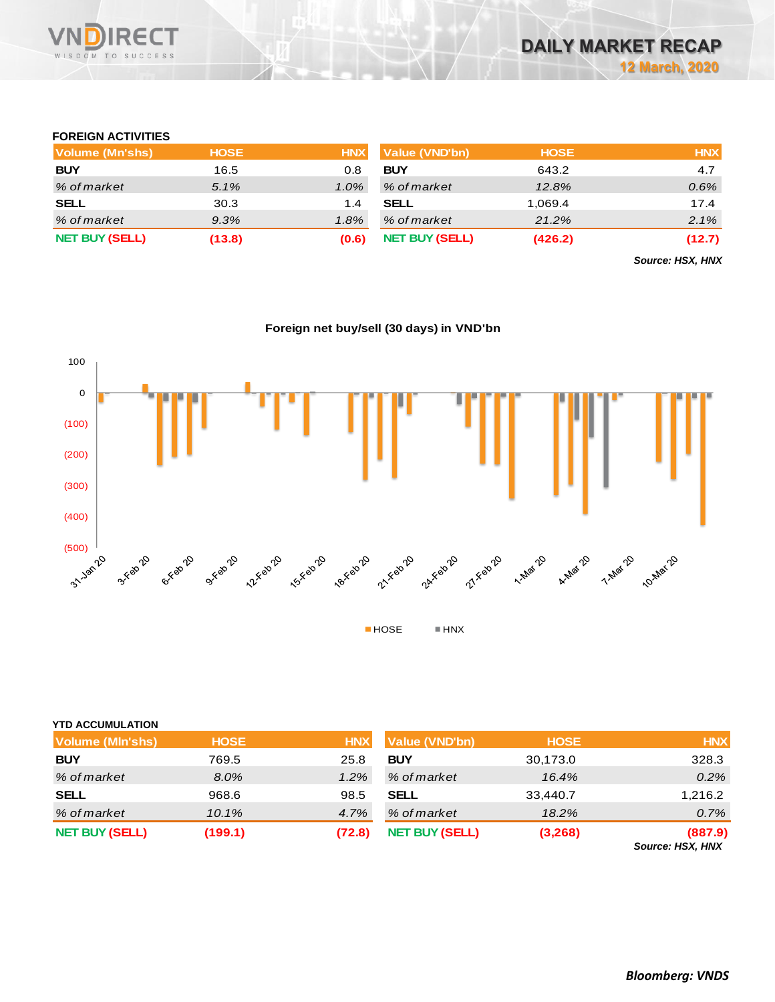

## **FOREIGN ACTIVITIES**

| Volume (Mn'shs)       | <b>HOSE</b> | <b>HNX</b> | <b>Value (VND'bn)</b> | <b>HOSE</b> | <b>HNX</b> |
|-----------------------|-------------|------------|-----------------------|-------------|------------|
| <b>BUY</b>            | 16.5        | 0.8        | <b>BUY</b>            | 643.2       | 4.7        |
| % of market           | 5.1%        | $1.0\%$    | % of market           | 12.8%       | $0.6\%$    |
| <b>SELL</b>           | 30.3        | 1.4        | <b>SELL</b>           | 1.069.4     | 17.4       |
| % of market           | 9.3%        | 1.8%       | % of market           | 21.2%       | 2.1%       |
| <b>NET BUY (SELL)</b> | (13.8)      | (0.6)      | <b>NET BUY (SELL)</b> | (426.2)     | (12.7)     |

*Source: HSX, HNX*



## **Foreign net buy/sell (30 days) in VND'bn**

## **YTD ACCUMULATION**

| <b>Volume (MIn'shs)</b> | <b>HOSE</b> | <b>HNX</b> | Value (VND'bn)        | <b>HOSE</b> | <b>HNX</b>                  |
|-------------------------|-------------|------------|-----------------------|-------------|-----------------------------|
| <b>BUY</b>              | 769.5       | 25.8       | <b>BUY</b>            | 30,173.0    | 328.3                       |
| % of market             | 8.0%        | 1.2%       | % of market           | 16.4%       | 0.2%                        |
| <b>SELL</b>             | 968.6       | 98.5       | <b>SELL</b>           | 33,440.7    | 1,216.2                     |
| % of market             | 10.1%       | 4.7%       | % of market           | 18.2%       | 0.7%                        |
| <b>NET BUY (SELL)</b>   | (199.1)     | (72.8)     | <b>NET BUY (SELL)</b> | (3,268)     | (887.9)<br>Source: HSX, HNX |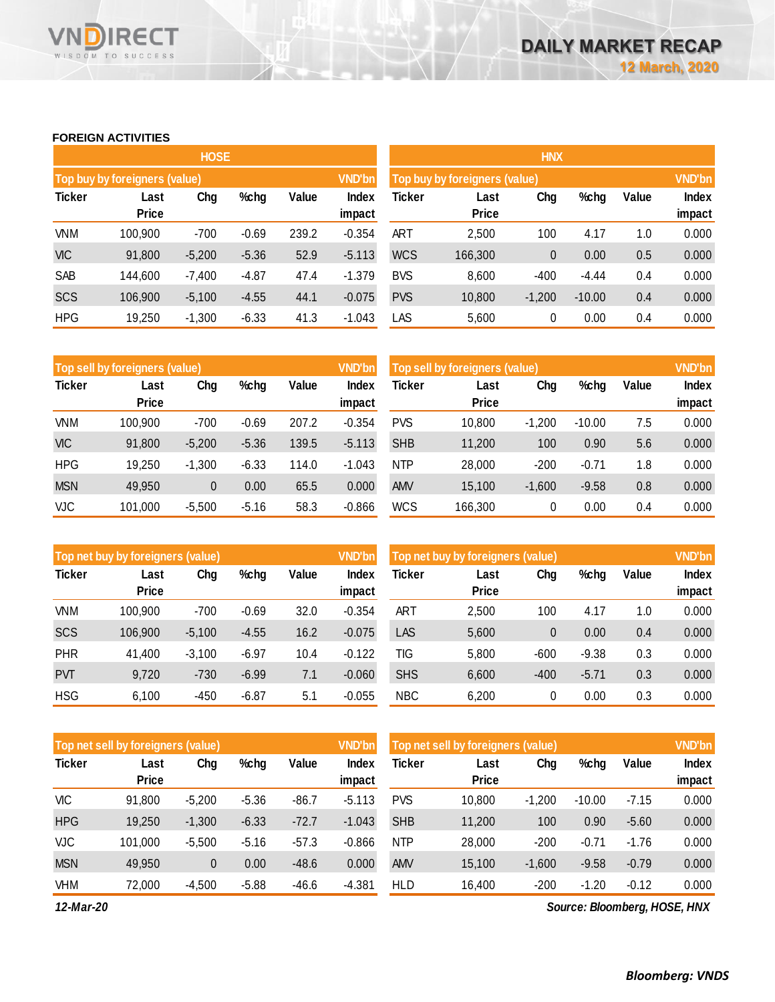## **FOREIGN ACTIVITIES**

WISDOM TO SUCCESS

**VN** 

**RECT** 

|               |                               | <b>HOSE</b> |         |       |                 | <b>HNX</b>                    |                      |          |          |       |                 |  |
|---------------|-------------------------------|-------------|---------|-------|-----------------|-------------------------------|----------------------|----------|----------|-------|-----------------|--|
|               | Top buy by foreigners (value) |             |         |       | <b>VND'bn</b>   | Top buy by foreigners (value) |                      |          |          |       |                 |  |
| <b>Ticker</b> | Last<br><b>Price</b>          | Chg         | %chg    | Value | Index<br>impact | Ticker                        | Last<br><b>Price</b> | Chg      | %chg     | Value | Index<br>impact |  |
| <b>VNM</b>    | 100,900                       | $-700$      | $-0.69$ | 239.2 | $-0.354$        | <b>ART</b>                    | 2,500                | 100      | 4.17     | 1.0   | 0.000           |  |
| <b>VIC</b>    | 91,800                        | $-5,200$    | $-5.36$ | 52.9  | $-5.113$        | <b>WCS</b>                    | 166,300              | 0        | 0.00     | 0.5   | 0.000           |  |
| SAB           | 144,600                       | $-7,400$    | $-4.87$ | 47.4  | $-1.379$        | <b>BVS</b>                    | 8,600                | $-400$   | $-4.44$  | 0.4   | 0.000           |  |
| <b>SCS</b>    | 106,900                       | $-5,100$    | $-4.55$ | 44.1  | $-0.075$        | <b>PVS</b>                    | 10,800               | $-1,200$ | $-10.00$ | 0.4   | 0.000           |  |
| <b>HPG</b>    | 19,250                        | $-1,300$    | $-6.33$ | 41.3  | $-1.043$        | LAS                           | 5,600                | 0        | 0.00     | 0.4   | 0.000           |  |

|               | Top sell by foreigners (value) |          |         |       | <b>VND'bn</b> | Top sell by foreigners (value), |              | <b>VND'bn</b> |          |       |        |
|---------------|--------------------------------|----------|---------|-------|---------------|---------------------------------|--------------|---------------|----------|-------|--------|
| <b>Ticker</b> | Last                           | Chg      | %chg    | Value | <b>Index</b>  | Ticker                          | Last         | Chg           | %chg     | Value | Index  |
|               | <b>Price</b>                   |          |         |       | impact        |                                 | <b>Price</b> |               |          |       | impact |
| VNM           | 100.900                        | $-700$   | $-0.69$ | 207.2 | $-0.354$      | <b>PVS</b>                      | 10,800       | $-1.200$      | $-10.00$ | 7.5   | 0.000  |
| <b>VIC</b>    | 91,800                         | $-5,200$ | $-5.36$ | 139.5 | $-5.113$      | <b>SHB</b>                      | 11,200       | 100           | 0.90     | 5.6   | 0.000  |
| <b>HPG</b>    | 19,250                         | $-1,300$ | $-6.33$ | 114.0 | $-1.043$      | <b>NTP</b>                      | 28,000       | $-200$        | $-0.71$  | 1.8   | 0.000  |
| <b>MSN</b>    | 49,950                         | 0        | 0.00    | 65.5  | 0.000         | <b>AMV</b>                      | 15,100       | $-1,600$      | $-9.58$  | 0.8   | 0.000  |
| <b>VJC</b>    | 101,000                        | $-5,500$ | $-5.16$ | 58.3  | $-0.866$      | <b>WCS</b>                      | 166,300      | 0             | 0.00     | 0.4   | 0.000  |

|               | Top net buy by foreigners (value) |          |         |       | <b>VND'bn</b> | Top net buy by foreigners (value) |              | <b>VND'bn</b> |         |       |        |
|---------------|-----------------------------------|----------|---------|-------|---------------|-----------------------------------|--------------|---------------|---------|-------|--------|
| <b>Ticker</b> | Last                              | Chg      | %chg    | Value | <b>Index</b>  | Ticker                            | Last         | Chg           | %chg    | Value | Index  |
|               | <b>Price</b>                      |          |         |       | impact        |                                   | <b>Price</b> |               |         |       | impact |
| VNM           | 100,900                           | $-700$   | $-0.69$ | 32.0  | $-0.354$      | <b>ART</b>                        | 2,500        | 100           | 4.17    | 1.0   | 0.000  |
| <b>SCS</b>    | 106,900                           | $-5,100$ | $-4.55$ | 16.2  | $-0.075$      | LAS                               | 5,600        | 0             | 0.00    | 0.4   | 0.000  |
| PHR           | 41,400                            | $-3,100$ | $-6.97$ | 10.4  | $-0.122$      | TIG                               | 5,800        | $-600$        | $-9.38$ | 0.3   | 0.000  |
| <b>PVT</b>    | 9,720                             | $-730$   | $-6.99$ | 7.1   | $-0.060$      | <b>SHS</b>                        | 6,600        | $-400$        | $-5.71$ | 0.3   | 0.000  |
| <b>HSG</b>    | 6,100                             | $-450$   | $-6.87$ | 5.1   | $-0.055$      | <b>NBC</b>                        | 6,200        | 0             | 0.00    | 0.3   | 0.000  |

|               | Top net sell by foreigners (value) |          |         |         | <b>VND'bn</b> | Top net sell by foreigners (value) |              | <b>VND'bn</b> |          |         |        |
|---------------|------------------------------------|----------|---------|---------|---------------|------------------------------------|--------------|---------------|----------|---------|--------|
| <b>Ticker</b> | Last                               | Chg      | %chg    | Value   | <b>Index</b>  | Ticker                             | Last         | Chg           | %chg     | Value   | Index  |
|               | <b>Price</b>                       |          |         |         | impact        |                                    | <b>Price</b> |               |          |         | impact |
| VIC           | 91,800                             | $-5.200$ | $-5.36$ | $-86.7$ | $-5.113$      | <b>PVS</b>                         | 10,800       | $-1.200$      | $-10.00$ | $-7.15$ | 0.000  |
| <b>HPG</b>    | 19,250                             | $-1,300$ | $-6.33$ | $-72.7$ | $-1.043$      | <b>SHB</b>                         | 11,200       | 100           | 0.90     | $-5.60$ | 0.000  |
| <b>VJC</b>    | 101.000                            | $-5,500$ | $-5.16$ | $-57.3$ | $-0.866$      | <b>NTP</b>                         | 28,000       | $-200$        | $-0.71$  | $-1.76$ | 0.000  |
| <b>MSN</b>    | 49.950                             | 0        | 0.00    | $-48.6$ | 0.000         | <b>AMV</b>                         | 15.100       | $-1,600$      | $-9.58$  | $-0.79$ | 0.000  |
| <b>VHM</b>    | 72,000                             | $-4.500$ | $-5.88$ | $-46.6$ | $-4.381$      | <b>HLD</b>                         | 16.400       | $-200$        | $-1.20$  | $-0.12$ | 0.000  |

*12-Mar-20*

*Source: Bloomberg, HOSE, HNX*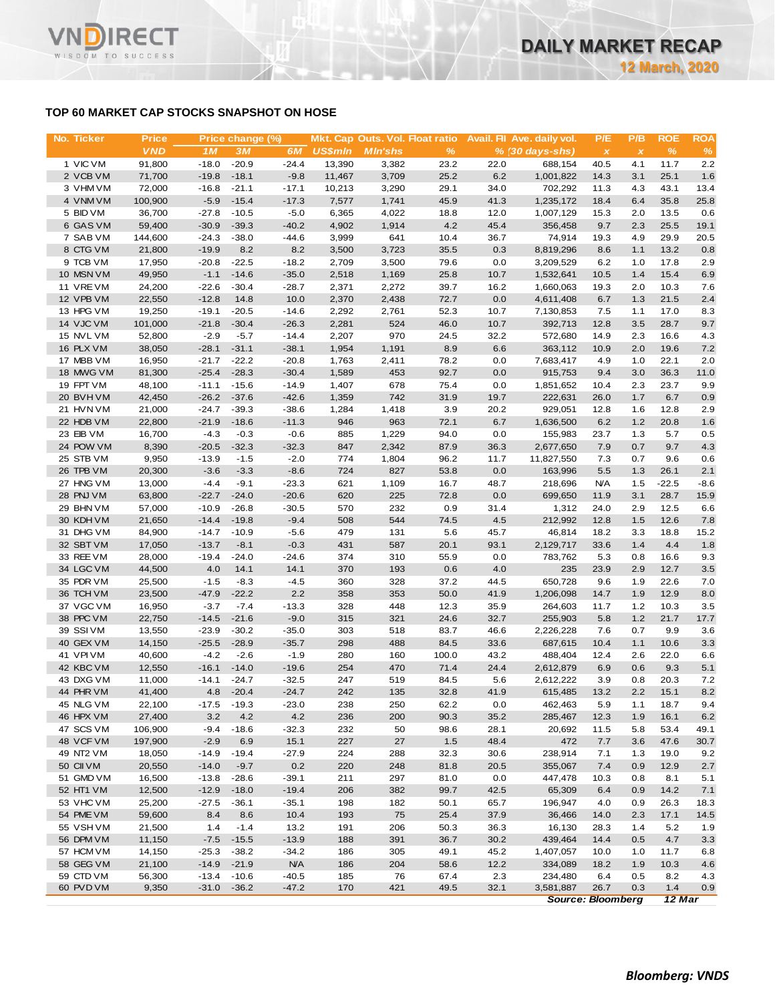# **TOP 60 MARKET CAP STOCKS SNAPSHOT ON HOSE**

**RECT** 

WISDOM TO SUCCESS

VND

| No. Ticker             | <b>Price</b>     |                    | Price change (%)   |                    |                | Mkt. Cap Outs. Vol. Float ratio |              |             | Avail. Fil Ave. daily vol. | P/E            | P/B          | <b>ROE</b>   | <b>ROA</b> |
|------------------------|------------------|--------------------|--------------------|--------------------|----------------|---------------------------------|--------------|-------------|----------------------------|----------------|--------------|--------------|------------|
|                        | <b>VND</b>       | 1M                 | 3M                 | 6M                 | <b>US\$mln</b> | <b>MIn'shs</b>                  | $\%$         |             | $% (30 days-shs)$          | $\pmb{\times}$ | $\pmb{\chi}$ | $\%$         | %          |
| 1 VIC VM               | 91,800           | $-18.0$            | $-20.9$            | $-24.4$            | 13,390         | 3,382                           | 23.2         | 22.0        | 688,154                    | 40.5           | 4.1          | 11.7         | 2.2        |
| 2 VCB VM               | 71,700           | $-19.8$            | $-18.1$            | $-9.8$             | 11,467         | 3,709                           | 25.2         | 6.2         | 1,001,822                  | 14.3           | 3.1          | 25.1         | 1.6        |
| 3 VHM VM               | 72,000           | $-16.8$            | $-21.1$            | $-17.1$            | 10,213         | 3,290                           | 29.1         | 34.0        | 702,292                    | 11.3           | 4.3          | 43.1         | 13.4       |
| 4 VNM VM               | 100,900          | $-5.9$             | $-15.4$            | $-17.3$            | 7,577          | 1,741                           | 45.9         | 41.3        | 1,235,172                  | 18.4           | 6.4          | 35.8         | 25.8       |
| 5 BID VM               | 36,700           | $-27.8$            | $-10.5$            | $-5.0$             | 6,365          | 4,022                           | 18.8         | 12.0        | 1,007,129                  | 15.3           | 2.0          | 13.5         | 0.6        |
| 6 GAS VM               | 59,400           | $-30.9$            | $-39.3$            | $-40.2$            | 4,902          | 1,914                           | 4.2          | 45.4        | 356,458                    | 9.7            | 2.3          | 25.5         | 19.1       |
| 7 SAB VM               | 144,600          | $-24.3$            | $-38.0$            | $-44.6$            | 3,999          | 641                             | 10.4         | 36.7        | 74,914                     | 19.3           | 4.9          | 29.9         | 20.5       |
| 8 CTG VM               | 21,800           | $-19.9$            | 8.2                | 8.2                | 3,500          | 3,723                           | 35.5         | 0.3         | 8,819,296                  | 8.6            | 1.1          | 13.2         | 0.8        |
| 9 TCB VM               | 17,950           | $-20.8$            | $-22.5$            | $-18.2$            | 2,709          | 3,500                           | 79.6         | 0.0         | 3,209,529                  | 6.2            | 1.0          | 17.8         | 2.9        |
| 10 MSN VM              | 49,950           | $-1.1$             | $-14.6$            | $-35.0$            | 2,518          | 1,169                           | 25.8         | 10.7        | 1,532,641                  | 10.5           | 1.4          | 15.4         | 6.9        |
| 11 VREVM               | 24,200           | $-22.6$            | $-30.4$            | $-28.7$            | 2,371          | 2,272                           | 39.7         | 16.2        | 1,660,063                  | 19.3           | 2.0          | 10.3         | 7.6        |
| 12 VPB VM              | 22,550           | $-12.8$            | 14.8               | 10.0               | 2,370          | 2,438                           | 72.7         | 0.0         | 4,611,408                  | 6.7            | 1.3          | 21.5         | 2.4        |
| 13 HPG VM              | 19,250           | $-19.1$            | $-20.5$            | $-14.6$            | 2,292          | 2,761                           | 52.3         | 10.7        | 7,130,853                  | 7.5            | 1.1          | 17.0         | 8.3        |
| 14 VJC VM              | 101,000          | $-21.8$            | $-30.4$            | $-26.3$            | 2,281          | 524                             | 46.0         | 10.7        | 392,713                    | 12.8           | 3.5          | 28.7         | 9.7        |
| 15 NVL VM              | 52,800           | $-2.9$             | $-5.7$             | $-14.4$            | 2,207          | 970                             | 24.5         | 32.2        | 572,680                    | 14.9           | 2.3          | 16.6         | 4.3        |
| 16 PLX VM              | 38,050           | $-28.1$            | $-31.1$            | $-38.1$            | 1,954          | 1,191                           | 8.9          | 6.6         | 363,112                    | 10.9           | 2.0          | 19.6         | 7.2        |
| 17 MBB VM              | 16,950           | $-21.7$            | $-22.2$            | $-20.8$            | 1,763          | 2,411                           | 78.2         | 0.0         | 7,683,417                  | 4.9            | 1.0          | 22.1         | 2.0        |
| 18 MWG VM              | 81,300           | $-25.4$            | $-28.3$            | $-30.4$            | 1,589          | 453                             | 92.7         | 0.0         | 915,753                    | 9.4            | 3.0          | 36.3         | 11.0       |
| 19 FPT VM              | 48,100           | $-11.1$            | $-15.6$            | $-14.9$            | 1,407          | 678                             | 75.4         | 0.0         | 1,851,652                  | 10.4           | 2.3          | 23.7         | 9.9        |
| 20 BVHVM               | 42,450           | $-26.2$            | $-37.6$            | $-42.6$            | 1,359          | 742                             | 31.9         | 19.7        | 222,631                    | 26.0           | 1.7          | 6.7          | 0.9        |
| 21 HVN VM              | 21,000           | $-24.7$            | $-39.3$<br>$-18.6$ | $-38.6$            | 1,284<br>946   | 1,418<br>963                    | 3.9          | 20.2<br>6.7 | 929,051                    | 12.8           | 1.6<br>1.2   | 12.8<br>20.8 | 2.9<br>1.6 |
| 22 HDB VM<br>23 EIB VM | 22,800<br>16,700 | $-21.9$<br>$-4.3$  | $-0.3$             | $-11.3$<br>$-0.6$  | 885            | 1,229                           | 72.1<br>94.0 | 0.0         | 1,636,500                  | 6.2            | 1.3          | 5.7          | 0.5        |
| 24 POW VM              | 8,390            | $-20.5$            | $-32.3$            | $-32.3$            | 847            | 2,342                           | 87.9         | 36.3        | 155,983<br>2,677,650       | 23.7<br>7.9    | 0.7          | 9.7          | 4.3        |
| 25 STB VM              | 9,950            | $-13.9$            | $-1.5$             | $-2.0$             | 774            | 1,804                           | 96.2         | 11.7        | 11,827,550                 | 7.3            | 0.7          | 9.6          | 0.6        |
| 26 TPB VM              | 20,300           | $-3.6$             | $-3.3$             | $-8.6$             | 724            | 827                             | 53.8         | 0.0         | 163,996                    | 5.5            | 1.3          | 26.1         | 2.1        |
| 27 HNG VM              | 13,000           | $-4.4$             | $-9.1$             | $-23.3$            | 621            | 1,109                           | 16.7         | 48.7        | 218,696                    | <b>N/A</b>     | 1.5          | $-22.5$      | $-8.6$     |
| 28 PNJ VM              | 63,800           | $-22.7$            | $-24.0$            | $-20.6$            | 620            | 225                             | 72.8         | 0.0         | 699,650                    | 11.9           | 3.1          | 28.7         | 15.9       |
| 29 BHN VM              | 57,000           | $-10.9$            | $-26.8$            | $-30.5$            | 570            | 232                             | 0.9          | 31.4        | 1,312                      | 24.0           | 2.9          | 12.5         | 6.6        |
| 30 KDH VM              | 21,650           | $-14.4$            | $-19.8$            | $-9.4$             | 508            | 544                             | 74.5         | 4.5         | 212,992                    | 12.8           | 1.5          | 12.6         | 7.8        |
| 31 DHG VM              | 84,900           | $-14.7$            | $-10.9$            | $-5.6$             | 479            | 131                             | 5.6          | 45.7        | 46,814                     | 18.2           | 3.3          | 18.8         | 15.2       |
| 32 SBT VM              | 17,050           | $-13.7$            | $-8.1$             | $-0.3$             | 431            | 587                             | 20.1         | 93.1        | 2,129,717                  | 33.6           | 1.4          | 4.4          | 1.8        |
| 33 REE VM              | 28,000           | $-19.4$            | $-24.0$            | $-24.6$            | 374            | 310                             | 55.9         | 0.0         | 783,762                    | 5.3            | 0.8          | 16.6         | 9.3        |
| 34 LGC VM              | 44,500           | 4.0                | 14.1               | 14.1               | 370            | 193                             | 0.6          | 4.0         | 235                        | 23.9           | 2.9          | 12.7         | 3.5        |
| 35 PDR VM              | 25,500           | $-1.5$             | $-8.3$             | $-4.5$             | 360            | 328                             | 37.2         | 44.5        | 650,728                    | 9.6            | 1.9          | 22.6         | 7.0        |
| 36 TCH VM              | 23,500           | $-47.9$            | $-22.2$            | 2.2                | 358            | 353                             | 50.0         | 41.9        | 1,206,098                  | 14.7           | 1.9          | 12.9         | 8.0        |
| 37 VGC VM              | 16,950           | $-3.7$             | $-7.4$             | $-13.3$            | 328            | 448                             | 12.3         | 35.9        | 264,603                    | 11.7           | 1.2          | 10.3         | 3.5        |
| 38 PPC VM              | 22,750           | $-14.5$            | $-21.6$            | $-9.0$             | 315            | 321                             | 24.6         | 32.7        | 255,903                    | 5.8            | 1.2          | 21.7         | 17.7       |
| 39 SSIVM               | 13,550           | $-23.9$            | $-30.2$            | $-35.0$            | 303            | 518                             | 83.7         | 46.6        | 2,226,228                  | 7.6            | 0.7          | 9.9          | 3.6        |
| 40 GEX VM              | 14,150           | $-25.5$            | $-28.9$            | $-35.7$            | 298            | 488                             | 84.5         | 33.6        | 687,615                    | 10.4           | 1.1          | 10.6         | 3.3        |
| 41 VPIVM               | 40,600           | $-4.2$             | $-2.6$             | $-1.9$             | 280            | 160                             | 100.0        | 43.2        | 488,404                    | 12.4           | 2.6          | 22.0         | 6.6        |
| 42 KBC VM              | 12,550           |                    | $-16.1 - 14.0$     | $-19.6$            | 254            | 470                             | 71.4         | 24.4        | 2,612,879                  | 6.9            | 0.6          | 9.3          | 5.1        |
| 43 DXG VM              | 11,000           | $-14.1$            | $-24.7$            | $-32.5$            | 247            | 519                             | 84.5         | 5.6         | 2,612,222                  | 3.9            | 0.8          | 20.3         | 7.2        |
| 44 PHR VM              | 41,400           | 4.8                | $-20.4$            | $-24.7$            | 242            | 135                             | 32.8         | 41.9        | 615,485                    | 13.2           | 2.2          | 15.1         | 8.2        |
| 45 NLG VM              | 22,100           | $-17.5$            | $-19.3$            | $-23.0$            | 238            | 250                             | 62.2         | 0.0         | 462,463                    | 5.9            | 1.1          | 18.7         | 9.4        |
| 46 HPX VM              | 27,400           | 3.2                | 4.2                | 4.2                | 236            | 200                             | 90.3         | 35.2        | 285,467                    | 12.3           | 1.9          | 16.1         | 6.2        |
| 47 SCS VM              | 106,900          | $-9.4$             | $-18.6$            | $-32.3$            | 232            | 50                              | 98.6         | 28.1        | 20,692                     | 11.5           | 5.8          | 53.4         | 49.1       |
| 48 VCF VM              | 197,900          | $-2.9$             | 6.9                | 15.1               | 227            | 27                              | 1.5          | 48.4        | 472                        | 7.7            | 3.6          | 47.6         | 30.7       |
| 49 NT2 VM              | 18,050           | $-14.9$            | $-19.4$            | $-27.9$            | 224            | 288                             | 32.3         | 30.6        | 238,914                    | 7.1            | 1.3          | 19.0         | 9.2        |
| 50 CII VM              | 20,550           | $-14.0$            | $-9.7$             | $0.2\,$            | 220            | 248                             | 81.8         | 20.5        | 355,067                    | 7.4            | 0.9          | 12.9         | 2.7        |
| 51 GMD VM              | 16,500           | $-13.8$            | $-28.6$            | $-39.1$            | 211            | 297                             | 81.0         | 0.0         | 447,478                    | 10.3           | 0.8          | 8.1          | 5.1        |
| 52 HT1 VM              | 12,500           | $-12.9$            | $-18.0$            | $-19.4$            | 206            | 382                             | 99.7         | 42.5        | 65,309                     | 6.4            | 0.9          | 14.2         | 7.1        |
| 53 VHC VM              | 25,200           | $-27.5$            | $-36.1$            | $-35.1$            | 198            | 182                             | 50.1         | 65.7        | 196,947                    | 4.0            | 0.9          | 26.3         | 18.3       |
| 54 PME VM              | 59,600           | 8.4                | 8.6                | 10.4               | 193            | 75                              | 25.4         | 37.9        | 36,466                     | 14.0           | 2.3          | 17.1         | 14.5       |
| 55 VSH VM              | 21,500           | 1.4                | $-1.4$             | 13.2               | 191            | 206                             | 50.3         | 36.3        | 16,130                     | 28.3           | 1.4          | 5.2          | 1.9        |
| 56 DPM VM              | 11,150           | $-7.5$             | $-15.5$            | $-13.9$            | 188            | 391                             | 36.7         | 30.2        | 439,464                    | 14.4           | 0.5          | 4.7          | 3.3        |
| 57 HCM VM              | 14,150           | $-25.3$            | $-38.2$            | $-34.2$            | 186            | 305                             | 49.1         | 45.2        | 1,407,057                  | 10.0           | 1.0          | 11.7         | 6.8        |
| 58 GEG VM              | 21,100           | $-14.9$            | $-21.9$            | <b>N/A</b>         | 186            | 204<br>76                       | 58.6         | 12.2        | 334,089                    | 18.2           | 1.9          | 10.3         | 4.6<br>4.3 |
| 59 CTD VM<br>60 PVD VM | 56,300<br>9,350  | $-13.4$<br>$-31.0$ | $-10.6$<br>$-36.2$ | $-40.5$<br>$-47.2$ | 185<br>170     | 421                             | 67.4<br>49.5 | 2.3<br>32.1 | 234,480<br>3,581,887       | 6.4<br>26.7    | 0.5<br>0.3   | 8.2<br>1.4   | 0.9        |
|                        |                  |                    |                    |                    |                |                                 |              |             |                            |                |              |              |            |